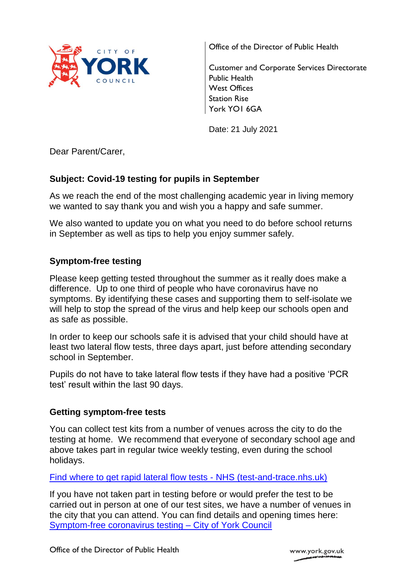

Office of the Director of Public Health

Customer and Corporate Services Directorate Public Health West Offices Station Rise York YO1 6GA

Date: 21 July 2021

Dear Parent/Carer,

# **Subject: Covid-19 testing for pupils in September**

As we reach the end of the most challenging academic year in living memory we wanted to say thank you and wish you a happy and safe summer.

We also wanted to update you on what you need to do before school returns in September as well as tips to help you enjoy summer safely.

## **Symptom-free testing**

Please keep getting tested throughout the summer as it really does make a difference. Up to one third of people who have coronavirus have no symptoms. By identifying these cases and supporting them to self-isolate we will help to stop the spread of the virus and help keep our schools open and as safe as possible.

In order to keep our schools safe it is advised that your child should have at least two lateral flow tests, three days apart, just before attending secondary school in September.

Pupils do not have to take lateral flow tests if they have had a positive 'PCR test' result within the last 90 days.

## **Getting symptom-free tests**

You can collect test kits from a number of venues across the city to do the testing at home. We recommend that everyone of secondary school age and above takes part in regular twice weekly testing, even during the school holidays.

[Find where to get rapid lateral flow tests -](https://maps.test-and-trace.nhs.uk/) NHS (test-and-trace.nhs.uk)

If you have not taken part in testing before or would prefer the test to be carried out in person at one of our test sites, we have a number of venues in the city that you can attend. You can find details and opening times here: [Symptom-free coronavirus testing –](https://www.york.gov.uk/SymptomFreeCOVIDTest) City of York Council